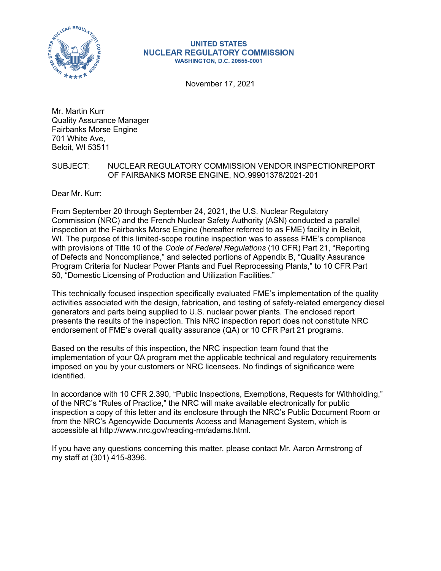

#### **UNITED STATES NUCLEAR REGULATORY COMMISSION WASHINGTON, D.C. 20555-0001**

November 17, 2021

Mr. Martin Kurr Quality Assurance Manager Fairbanks Morse Engine 701 White Ave, Beloit, WI 53511

# SUBJECT: NUCLEAR REGULATORY COMMISSION VENDOR INSPECTIONREPORT OF FAIRBANKS MORSE ENGINE, NO.99901378/2021-201

Dear Mr. Kurr:

From September 20 through September 24, 2021, the U.S. Nuclear Regulatory Commission (NRC) and the French Nuclear Safety Authority (ASN) conducted a parallel inspection at the Fairbanks Morse Engine (hereafter referred to as FME) facility in Beloit, WI. The purpose of this limited-scope routine inspection was to assess FME's compliance with provisions of Title 10 of the *Code of Federal Regulations* (10 CFR) Part 21, "Reporting of Defects and Noncompliance," and selected portions of Appendix B, "Quality Assurance Program Criteria for Nuclear Power Plants and Fuel Reprocessing Plants," to 10 CFR Part 50, "Domestic Licensing of Production and Utilization Facilities."

This technically focused inspection specifically evaluated FME's implementation of the quality activities associated with the design, fabrication, and testing of safety-related emergency diesel generators and parts being supplied to U.S. nuclear power plants. The enclosed report presents the results of the inspection. This NRC inspection report does not constitute NRC endorsement of FME's overall quality assurance (QA) or 10 CFR Part 21 programs.

Based on the results of this inspection, the NRC inspection team found that the implementation of your QA program met the applicable technical and regulatory requirements imposed on you by your customers or NRC licensees. No findings of significance were identified.

In accordance with 10 CFR 2.390, "Public Inspections, Exemptions, Requests for Withholding," of the NRC's "Rules of Practice," the NRC will make available electronically for public inspection a copy of this letter and its enclosure through the NRC's Public Document Room or from the NRC's Agencywide Documents Access and Management System, which is accessible at [http://www.nrc.gov/reading-rm/adams.html.](http://www.nrc.gov/reading-rm/adams.html)

If you have any questions concerning this matter, please contact Mr. Aaron Armstrong of my staff at (301) 415-8396.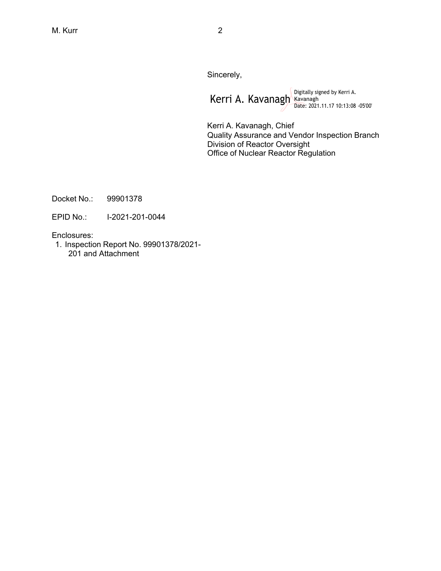Sincerely,

Kerri A. Kavanagh Rayanagh Kavanagh (Kerri A. Date: 2021.11.17 10:13:08 -05'00'

Kerri A. Kavanagh, Chief Quality Assurance and Vendor Inspection Branch Division of Reactor Oversight Office of Nuclear Reactor Regulation

Docket No.: 99901378

EPID No.: I-2021-201-0044

Enclosures:

1. Inspection Report No. 99901378/2021- 201 and Attachment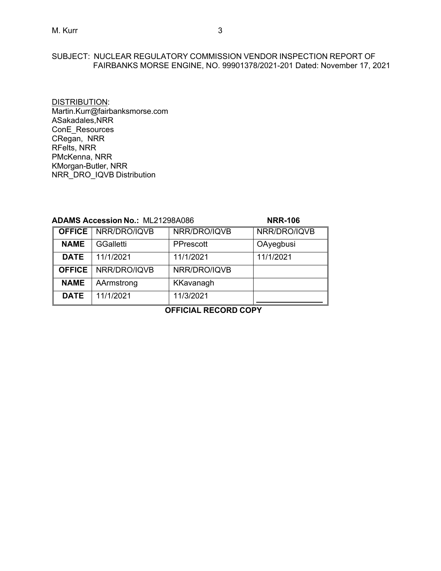# SUBJECT: NUCLEAR REGULATORY COMMISSION VENDOR INSPECTION REPORT OF FAIRBANKS MORSE ENGINE, NO. 99901378/2021-201 Dated: November 17, 2021

DISTRIBUTION: [Martin.Kurr@fairbanksmorse.com](mailto:Martin.Kurr@fairbanksmorse.com) ASakadales,NRR ConE\_Resources CRegan, NRR RFelts, NRR PMcKenna, NRR KMorgan-Butler, NRR NRR\_DRO\_IQVB Distribution

| <b>ADAMS Accession No.: ML21298A086</b> |                  |              | <b>NRR-106</b> |
|-----------------------------------------|------------------|--------------|----------------|
| <b>OFFICE</b>                           | NRR/DRO/IQVB     | NRR/DRO/IQVB | NRR/DRO/IQVB   |
| <b>NAME</b>                             | <b>GGalletti</b> | PPrescott    | OAyegbusi      |
| <b>DATE</b>                             | 11/1/2021        | 11/1/2021    | 11/1/2021      |
| <b>OFFICE</b>                           | NRR/DRO/IQVB     | NRR/DRO/IQVB |                |
| <b>NAME</b>                             | AArmstrong       | KKavanagh    |                |
| <b>DATE</b>                             | 11/1/2021        | 11/3/2021    |                |

**OFFICIAL RECORD COPY**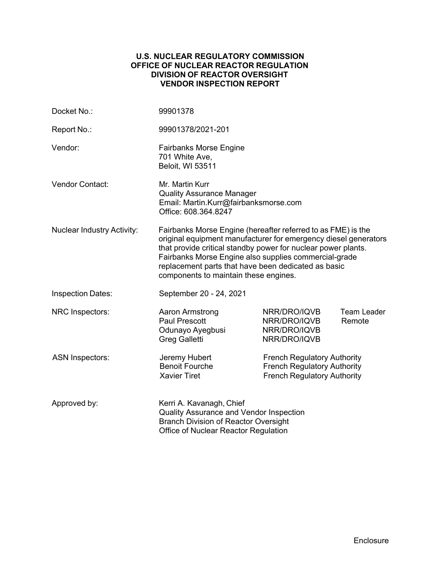# **U.S. NUCLEAR REGULATORY COMMISSION OFFICE OF NUCLEAR REACTOR REGULATION DIVISION OF REACTOR OVERSIGHT VENDOR INSPECTION REPORT**

| Docket No.:                       | 99901378                                                                                                                                                                                                                                                                                                                                                  |                                                                                                                |                              |
|-----------------------------------|-----------------------------------------------------------------------------------------------------------------------------------------------------------------------------------------------------------------------------------------------------------------------------------------------------------------------------------------------------------|----------------------------------------------------------------------------------------------------------------|------------------------------|
| Report No.:                       | 99901378/2021-201                                                                                                                                                                                                                                                                                                                                         |                                                                                                                |                              |
| Vendor:                           | <b>Fairbanks Morse Engine</b><br>701 White Ave,<br><b>Beloit, WI 53511</b>                                                                                                                                                                                                                                                                                |                                                                                                                |                              |
| <b>Vendor Contact:</b>            | Mr. Martin Kurr<br><b>Quality Assurance Manager</b><br>Email: Martin.Kurr@fairbanksmorse.com<br>Office: 608.364.8247                                                                                                                                                                                                                                      |                                                                                                                |                              |
| <b>Nuclear Industry Activity:</b> | Fairbanks Morse Engine (hereafter referred to as FME) is the<br>original equipment manufacturer for emergency diesel generators<br>that provide critical standby power for nuclear power plants.<br>Fairbanks Morse Engine also supplies commercial-grade<br>replacement parts that have been dedicated as basic<br>components to maintain these engines. |                                                                                                                |                              |
| <b>Inspection Dates:</b>          | September 20 - 24, 2021                                                                                                                                                                                                                                                                                                                                   |                                                                                                                |                              |
| NRC Inspectors:                   | Aaron Armstrong<br><b>Paul Prescott</b><br>Odunayo Ayegbusi<br><b>Greg Galletti</b>                                                                                                                                                                                                                                                                       | NRR/DRO/IQVB<br>NRR/DRO/IQVB<br>NRR/DRO/IQVB<br>NRR/DRO/IQVB                                                   | <b>Team Leader</b><br>Remote |
| <b>ASN Inspectors:</b>            | Jeremy Hubert<br><b>Benoit Fourche</b><br><b>Xavier Tiret</b>                                                                                                                                                                                                                                                                                             | <b>French Regulatory Authority</b><br><b>French Regulatory Authority</b><br><b>French Regulatory Authority</b> |                              |
| Approved by:                      | Kerri A. Kavanagh, Chief<br>Quality Assurance and Vendor Inspection<br><b>Branch Division of Reactor Oversight</b><br>Office of Nuclear Reactor Regulation                                                                                                                                                                                                |                                                                                                                |                              |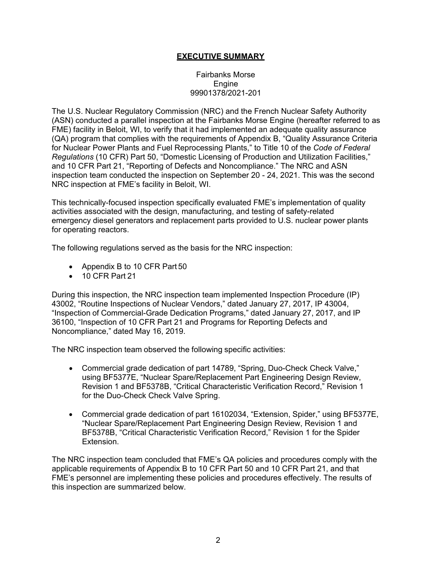# **EXECUTIVE SUMMARY**

### Fairbanks Morse **Engine** 99901378/2021-201

The U.S. Nuclear Regulatory Commission (NRC) and the French Nuclear Safety Authority (ASN) conducted a parallel inspection at the Fairbanks Morse Engine (hereafter referred to as FME) facility in Beloit, WI, to verify that it had implemented an adequate quality assurance (QA) program that complies with the requirements of Appendix B, "Quality Assurance Criteria for Nuclear Power Plants and Fuel Reprocessing Plants," to Title 10 of the *Code of Federal Regulations* (10 CFR) Part 50, "Domestic Licensing of Production and Utilization Facilities," and 10 CFR Part 21, "Reporting of Defects and Noncompliance." The NRC and ASN inspection team conducted the inspection on September 20 - 24, 2021. This was the second NRC inspection at FME's facility in Beloit, WI.

This technically-focused inspection specifically evaluated FME's implementation of quality activities associated with the design, manufacturing, and testing of safety-related emergency diesel generators and replacement parts provided to U.S. nuclear power plants for operating reactors.

The following regulations served as the basis for the NRC inspection:

- Appendix B to 10 CFR Part 50
- 10 CFR Part 21

During this inspection, the NRC inspection team implemented Inspection Procedure (IP) 43002, "Routine Inspections of Nuclear Vendors," dated January 27, 2017, IP 43004, "Inspection of Commercial-Grade Dedication Programs," dated January 27, 2017, and IP 36100, "Inspection of 10 CFR Part 21 and Programs for Reporting Defects and Noncompliance," dated May 16, 2019.

The NRC inspection team observed the following specific activities:

- Commercial grade dedication of part 14789, "Spring, Duo-Check Check Valve," using BF5377E, "Nuclear Spare/Replacement Part Engineering Design Review, Revision 1 and BF5378B, "Critical Characteristic Verification Record," Revision 1 for the Duo-Check Check Valve Spring.
- Commercial grade dedication of part 16102034, "Extension, Spider," using BF5377E, "Nuclear Spare/Replacement Part Engineering Design Review, Revision 1 and BF5378B, "Critical Characteristic Verification Record," Revision 1 for the Spider Extension.

The NRC inspection team concluded that FME's QA policies and procedures comply with the applicable requirements of Appendix B to 10 CFR Part 50 and 10 CFR Part 21, and that FME's personnel are implementing these policies and procedures effectively. The results of this inspection are summarized below.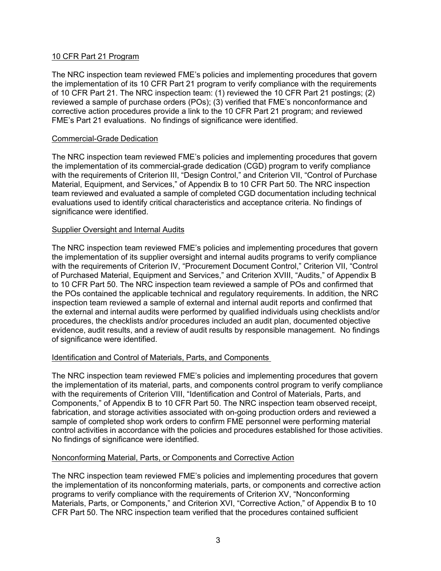# 10 CFR Part 21 Program

The NRC inspection team reviewed FME's policies and implementing procedures that govern the implementation of its 10 CFR Part 21 program to verify compliance with the requirements of 10 CFR Part 21. The NRC inspection team: (1) reviewed the 10 CFR Part 21 postings; (2) reviewed a sample of purchase orders (POs); (3) verified that FME's nonconformance and corrective action procedures provide a link to the 10 CFR Part 21 program; and reviewed FME's Part 21 evaluations. No findings of significance were identified.

## Commercial-Grade Dedication

The NRC inspection team reviewed FME's policies and implementing procedures that govern the implementation of its commercial-grade dedication (CGD) program to verify compliance with the requirements of Criterion III, "Design Control," and Criterion VII, "Control of Purchase Material, Equipment, and Services," of Appendix B to 10 CFR Part 50. The NRC inspection team reviewed and evaluated a sample of completed CGD documentation including technical evaluations used to identify critical characteristics and acceptance criteria. No findings of significance were identified.

# Supplier Oversight and Internal Audits

The NRC inspection team reviewed FME's policies and implementing procedures that govern the implementation of its supplier oversight and internal audits programs to verify compliance with the requirements of Criterion IV, "Procurement Document Control," Criterion VII, "Control of Purchased Material, Equipment and Services," and Criterion XVIII, "Audits," of Appendix B to 10 CFR Part 50. The NRC inspection team reviewed a sample of POs and confirmed that the POs contained the applicable technical and regulatory requirements. In addition, the NRC inspection team reviewed a sample of external and internal audit reports and confirmed that the external and internal audits were performed by qualified individuals using checklists and/or procedures, the checklists and/or procedures included an audit plan, documented objective evidence, audit results, and a review of audit results by responsible management. No findings of significance were identified.

### Identification and Control of Materials, Parts, and Components

The NRC inspection team reviewed FME's policies and implementing procedures that govern the implementation of its material, parts, and components control program to verify compliance with the requirements of Criterion VIII, "Identification and Control of Materials, Parts, and Components," of Appendix B to 10 CFR Part 50. The NRC inspection team observed receipt, fabrication, and storage activities associated with on-going production orders and reviewed a sample of completed shop work orders to confirm FME personnel were performing material control activities in accordance with the policies and procedures established for those activities. No findings of significance were identified.

### Nonconforming Material, Parts, or Components and Corrective Action

The NRC inspection team reviewed FME's policies and implementing procedures that govern the implementation of its nonconforming materials, parts, or components and corrective action programs to verify compliance with the requirements of Criterion XV, "Nonconforming Materials, Parts, or Components," and Criterion XVI, "Corrective Action," of Appendix B to 10 CFR Part 50. The NRC inspection team verified that the procedures contained sufficient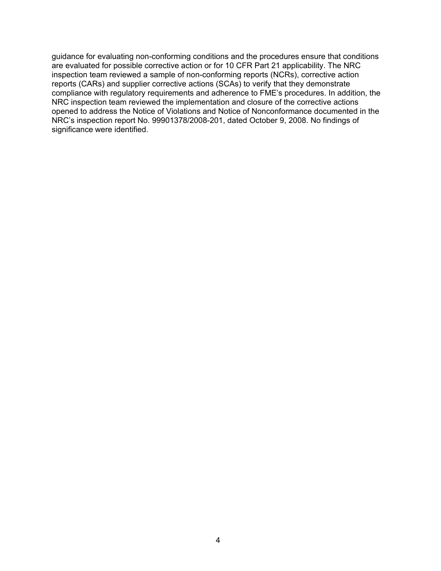guidance for evaluating non-conforming conditions and the procedures ensure that conditions are evaluated for possible corrective action or for 10 CFR Part 21 applicability. The NRC inspection team reviewed a sample of non-conforming reports (NCRs), corrective action reports (CARs) and supplier corrective actions (SCAs) to verify that they demonstrate compliance with regulatory requirements and adherence to FME's procedures. In addition, the NRC inspection team reviewed the implementation and closure of the corrective actions opened to address the Notice of Violations and Notice of Nonconformance documented in the NRC's inspection report No. 99901378/2008-201, dated October 9, 2008. No findings of significance were identified.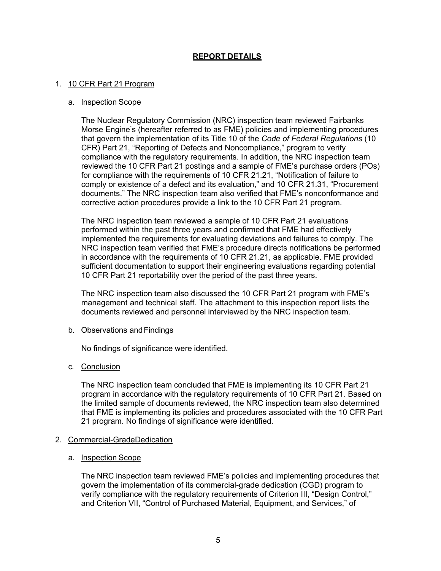# **REPORT DETAILS**

## 1. 10 CFR Part 21 Program

#### a. Inspection Scope

The Nuclear Regulatory Commission (NRC) inspection team reviewed Fairbanks Morse Engine's (hereafter referred to as FME) policies and implementing procedures that govern the implementation of its Title 10 of the *Code of Federal Regulations* (10 CFR) Part 21, "Reporting of Defects and Noncompliance," program to verify compliance with the regulatory requirements. In addition, the NRC inspection team reviewed the 10 CFR Part 21 postings and a sample of FME's purchase orders (POs) for compliance with the requirements of 10 CFR 21.21, "Notification of failure to comply or existence of a defect and its evaluation," and 10 CFR 21.31, "Procurement documents." The NRC inspection team also verified that FME's nonconformance and corrective action procedures provide a link to the 10 CFR Part 21 program.

The NRC inspection team reviewed a sample of 10 CFR Part 21 evaluations performed within the past three years and confirmed that FME had effectively implemented the requirements for evaluating deviations and failures to comply. The NRC inspection team verified that FME's procedure directs notifications be performed in accordance with the requirements of 10 CFR 21.21, as applicable. FME provided sufficient documentation to support their engineering evaluations regarding potential 10 CFR Part 21 reportability over the period of the past three years.

The NRC inspection team also discussed the 10 CFR Part 21 program with FME's management and technical staff. The attachment to this inspection report lists the documents reviewed and personnel interviewed by the NRC inspection team.

### b. Observations and Findings

No findings of significance were identified.

### c. Conclusion

The NRC inspection team concluded that FME is implementing its 10 CFR Part 21 program in accordance with the regulatory requirements of 10 CFR Part 21. Based on the limited sample of documents reviewed, the NRC inspection team also determined that FME is implementing its policies and procedures associated with the 10 CFR Part 21 program. No findings of significance were identified.

### 2. Commercial-GradeDedication

### a. Inspection Scope

The NRC inspection team reviewed FME's policies and implementing procedures that govern the implementation of its commercial-grade dedication (CGD) program to verify compliance with the regulatory requirements of Criterion III, "Design Control," and Criterion VII, "Control of Purchased Material, Equipment, and Services," of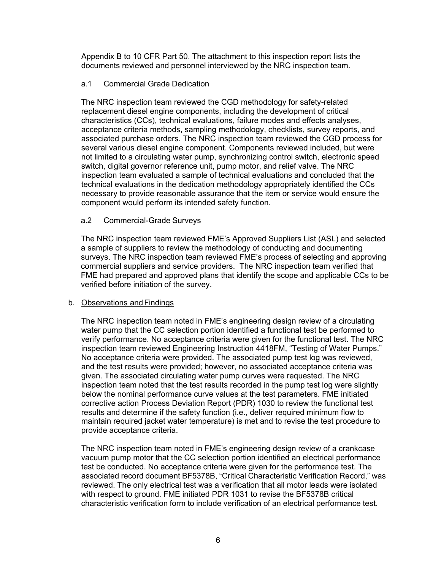Appendix B to 10 CFR Part 50. The attachment to this inspection report lists the documents reviewed and personnel interviewed by the NRC inspection team.

# a.1 Commercial Grade Dedication

The NRC inspection team reviewed the CGD methodology for safety-related replacement diesel engine components, including the development of critical characteristics (CCs), technical evaluations, failure modes and effects analyses, acceptance criteria methods, sampling methodology, checklists, survey reports, and associated purchase orders. The NRC inspection team reviewed the CGD process for several various diesel engine component. Components reviewed included, but were not limited to a circulating water pump, synchronizing control switch, electronic speed switch, digital governor reference unit, pump motor, and relief valve. The NRC inspection team evaluated a sample of technical evaluations and concluded that the technical evaluations in the dedication methodology appropriately identified the CCs necessary to provide reasonable assurance that the item or service would ensure the component would perform its intended safety function.

# a.2 Commercial-Grade Surveys

The NRC inspection team reviewed FME's Approved Suppliers List (ASL) and selected a sample of suppliers to review the methodology of conducting and documenting surveys. The NRC inspection team reviewed FME's process of selecting and approving commercial suppliers and service providers. The NRC inspection team verified that FME had prepared and approved plans that identify the scope and applicable CCs to be verified before initiation of the survey.

# b. Observations andFindings

The NRC inspection team noted in FME's engineering design review of a circulating water pump that the CC selection portion identified a functional test be performed to verify performance. No acceptance criteria were given for the functional test. The NRC inspection team reviewed Engineering Instruction 4418FM, "Testing of Water Pumps." No acceptance criteria were provided. The associated pump test log was reviewed, and the test results were provided; however, no associated acceptance criteria was given. The associated circulating water pump curves were requested. The NRC inspection team noted that the test results recorded in the pump test log were slightly below the nominal performance curve values at the test parameters. FME initiated corrective action Process Deviation Report (PDR) 1030 to review the functional test results and determine if the safety function (i.e., deliver required minimum flow to maintain required jacket water temperature) is met and to revise the test procedure to provide acceptance criteria.

The NRC inspection team noted in FME's engineering design review of a crankcase vacuum pump motor that the CC selection portion identified an electrical performance test be conducted. No acceptance criteria were given for the performance test. The associated record document BF5378B, "Critical Characteristic Verification Record," was reviewed. The only electrical test was a verification that all motor leads were isolated with respect to ground. FME initiated PDR 1031 to revise the BF5378B critical characteristic verification form to include verification of an electrical performance test.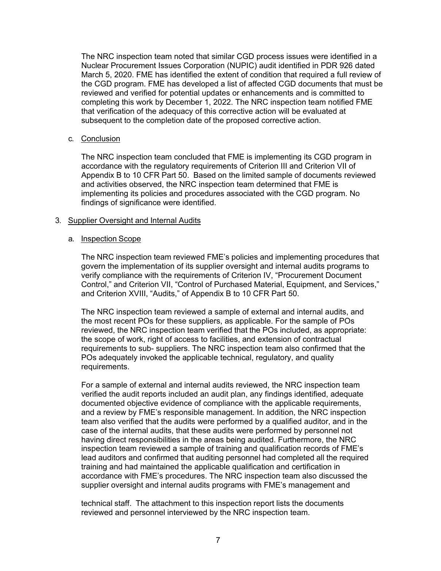The NRC inspection team noted that similar CGD process issues were identified in a Nuclear Procurement Issues Corporation (NUPIC) audit identified in PDR 926 dated March 5, 2020. FME has identified the extent of condition that required a full review of the CGD program. FME has developed a list of affected CGD documents that must be reviewed and verified for potential updates or enhancements and is committed to completing this work by December 1, 2022. The NRC inspection team notified FME that verification of the adequacy of this corrective action will be evaluated at subsequent to the completion date of the proposed corrective action.

# c. Conclusion

The NRC inspection team concluded that FME is implementing its CGD program in accordance with the regulatory requirements of Criterion III and Criterion VII of Appendix B to 10 CFR Part 50. Based on the limited sample of documents reviewed and activities observed, the NRC inspection team determined that FME is implementing its policies and procedures associated with the CGD program. No findings of significance were identified.

# 3. Supplier Oversight and Internal Audits

### a. Inspection Scope

The NRC inspection team reviewed FME's policies and implementing procedures that govern the implementation of its supplier oversight and internal audits programs to verify compliance with the requirements of Criterion IV, "Procurement Document Control," and Criterion VII, "Control of Purchased Material, Equipment, and Services," and Criterion XVIII, "Audits," of Appendix B to 10 CFR Part 50.

The NRC inspection team reviewed a sample of external and internal audits, and the most recent POs for these suppliers, as applicable. For the sample of POs reviewed, the NRC inspection team verified that the POs included, as appropriate: the scope of work, right of access to facilities, and extension of contractual requirements to sub- suppliers. The NRC inspection team also confirmed that the POs adequately invoked the applicable technical, regulatory, and quality requirements.

For a sample of external and internal audits reviewed, the NRC inspection team verified the audit reports included an audit plan, any findings identified, adequate documented objective evidence of compliance with the applicable requirements, and a review by FME's responsible management. In addition, the NRC inspection team also verified that the audits were performed by a qualified auditor, and in the case of the internal audits, that these audits were performed by personnel not having direct responsibilities in the areas being audited. Furthermore, the NRC inspection team reviewed a sample of training and qualification records of FME's lead auditors and confirmed that auditing personnel had completed all the required training and had maintained the applicable qualification and certification in accordance with FME's procedures. The NRC inspection team also discussed the supplier oversight and internal audits programs with FME's management and

technical staff. The attachment to this inspection report lists the documents reviewed and personnel interviewed by the NRC inspection team.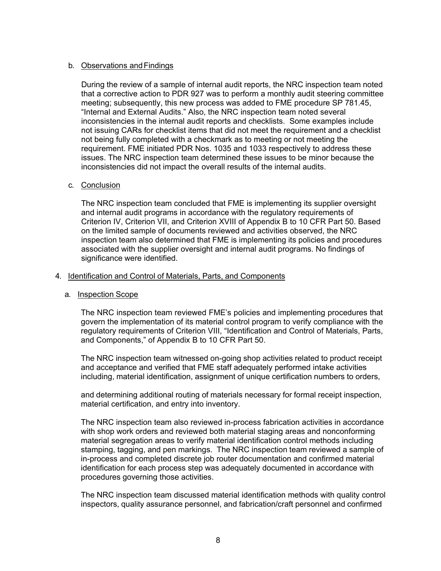# b. Observations andFindings

During the review of a sample of internal audit reports, the NRC inspection team noted that a corrective action to PDR 927 was to perform a monthly audit steering committee meeting; subsequently, this new process was added to FME procedure SP 781.45, "Internal and External Audits." Also, the NRC inspection team noted several inconsistencies in the internal audit reports and checklists. Some examples include not issuing CARs for checklist items that did not meet the requirement and a checklist not being fully completed with a checkmark as to meeting or not meeting the requirement. FME initiated PDR Nos. 1035 and 1033 respectively to address these issues. The NRC inspection team determined these issues to be minor because the inconsistencies did not impact the overall results of the internal audits.

### c. Conclusion

The NRC inspection team concluded that FME is implementing its supplier oversight and internal audit programs in accordance with the regulatory requirements of Criterion IV, Criterion VII, and Criterion XVIII of Appendix B to 10 CFR Part 50. Based on the limited sample of documents reviewed and activities observed, the NRC inspection team also determined that FME is implementing its policies and procedures associated with the supplier oversight and internal audit programs. No findings of significance were identified.

# 4. Identification and Control of Materials, Parts, and Components

### a. Inspection Scope

The NRC inspection team reviewed FME's policies and implementing procedures that govern the implementation of its material control program to verify compliance with the regulatory requirements of Criterion VIII, "Identification and Control of Materials, Parts, and Components," of Appendix B to 10 CFR Part 50.

The NRC inspection team witnessed on-going shop activities related to product receipt and acceptance and verified that FME staff adequately performed intake activities including, material identification, assignment of unique certification numbers to orders,

and determining additional routing of materials necessary for formal receipt inspection, material certification, and entry into inventory.

The NRC inspection team also reviewed in-process fabrication activities in accordance with shop work orders and reviewed both material staging areas and nonconforming material segregation areas to verify material identification control methods including stamping, tagging, and pen markings. The NRC inspection team reviewed a sample of in-process and completed discrete job router documentation and confirmed material identification for each process step was adequately documented in accordance with procedures governing those activities.

The NRC inspection team discussed material identification methods with quality control inspectors, quality assurance personnel, and fabrication/craft personnel and confirmed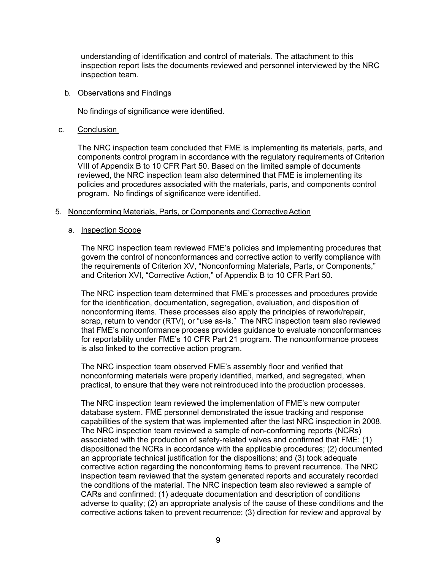understanding of identification and control of materials. The attachment to this inspection report lists the documents reviewed and personnel interviewed by the NRC inspection team.

### b. Observations and Findings

No findings of significance were identified.

### c. Conclusion

The NRC inspection team concluded that FME is implementing its materials, parts, and components control program in accordance with the regulatory requirements of Criterion VIII of Appendix B to 10 CFR Part 50. Based on the limited sample of documents reviewed, the NRC inspection team also determined that FME is implementing its policies and procedures associated with the materials, parts, and components control program. No findings of significance were identified.

### 5. Nonconforming Materials, Parts, or Components and Corrective Action

### a. Inspection Scope

The NRC inspection team reviewed FME's policies and implementing procedures that govern the control of nonconformances and corrective action to verify compliance with the requirements of Criterion XV, "Nonconforming Materials, Parts, or Components," and Criterion XVI, "Corrective Action," of Appendix B to 10 CFR Part 50.

The NRC inspection team determined that FME's processes and procedures provide for the identification, documentation, segregation, evaluation, and disposition of nonconforming items. These processes also apply the principles of rework/repair, scrap, return to vendor (RTV), or "use as-is." The NRC inspection team also reviewed that FME's nonconformance process provides guidance to evaluate nonconformances for reportability under FME's 10 CFR Part 21 program. The nonconformance process is also linked to the corrective action program.

The NRC inspection team observed FME's assembly floor and verified that nonconforming materials were properly identified, marked, and segregated, when practical, to ensure that they were not reintroduced into the production processes.

The NRC inspection team reviewed the implementation of FME's new computer database system. FME personnel demonstrated the issue tracking and response capabilities of the system that was implemented after the last NRC inspection in 2008. The NRC inspection team reviewed a sample of non-conforming reports (NCRs) associated with the production of safety-related valves and confirmed that FME: (1) dispositioned the NCRs in accordance with the applicable procedures; (2) documented an appropriate technical justification for the dispositions; and (3) took adequate corrective action regarding the nonconforming items to prevent recurrence. The NRC inspection team reviewed that the system generated reports and accurately recorded the conditions of the material. The NRC inspection team also reviewed a sample of CARs and confirmed: (1) adequate documentation and description of conditions adverse to quality; (2) an appropriate analysis of the cause of these conditions and the corrective actions taken to prevent recurrence; (3) direction for review and approval by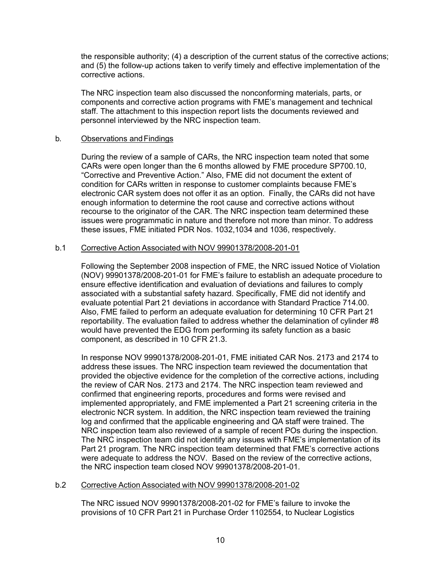the responsible authority; (4) a description of the current status of the corrective actions; and (5) the follow-up actions taken to verify timely and effective implementation of the corrective actions.

The NRC inspection team also discussed the nonconforming materials, parts, or components and corrective action programs with FME's management and technical staff. The attachment to this inspection report lists the documents reviewed and personnel interviewed by the NRC inspection team.

### b. Observations and Findings

During the review of a sample of CARs, the NRC inspection team noted that some CARs were open longer than the 6 months allowed by FME procedure SP700.10, "Corrective and Preventive Action." Also, FME did not document the extent of condition for CARs written in response to customer complaints because FME's electronic CAR system does not offer it as an option. Finally, the CARs did not have enough information to determine the root cause and corrective actions without recourse to the originator of the CAR. The NRC inspection team determined these issues were programmatic in nature and therefore not more than minor. To address these issues, FME initiated PDR Nos. 1032,1034 and 1036, respectively.

# b.1 Corrective Action Associated with NOV 99901378/2008-201-01

Following the September 2008 inspection of FME, the NRC issued Notice of Violation (NOV) 99901378/2008-201-01 for FME's failure to establish an adequate procedure to ensure effective identification and evaluation of deviations and failures to comply associated with a substantial safety hazard. Specifically, FME did not identify and evaluate potential Part 21 deviations in accordance with Standard Practice 714.00. Also, FME failed to perform an adequate evaluation for determining 10 CFR Part 21 reportability. The evaluation failed to address whether the delamination of cylinder #8 would have prevented the EDG from performing its safety function as a basic component, as described in 10 CFR 21.3.

In response NOV 99901378/2008-201-01, FME initiated CAR Nos. 2173 and 2174 to address these issues. The NRC inspection team reviewed the documentation that provided the objective evidence for the completion of the corrective actions, including the review of CAR Nos. 2173 and 2174. The NRC inspection team reviewed and confirmed that engineering reports, procedures and forms were revised and implemented appropriately, and FME implemented a Part 21 screening criteria in the electronic NCR system. In addition, the NRC inspection team reviewed the training log and confirmed that the applicable engineering and QA staff were trained. The NRC inspection team also reviewed of a sample of recent POs during the inspection. The NRC inspection team did not identify any issues with FME's implementation of its Part 21 program. The NRC inspection team determined that FME's corrective actions were adequate to address the NOV. Based on the review of the corrective actions, the NRC inspection team closed NOV 99901378/2008-201-01.

# b.2 Corrective Action Associated with NOV 99901378/2008-201-02

The NRC issued NOV 99901378/2008-201-02 for FME's failure to invoke the provisions of 10 CFR Part 21 in Purchase Order 1102554, to Nuclear Logistics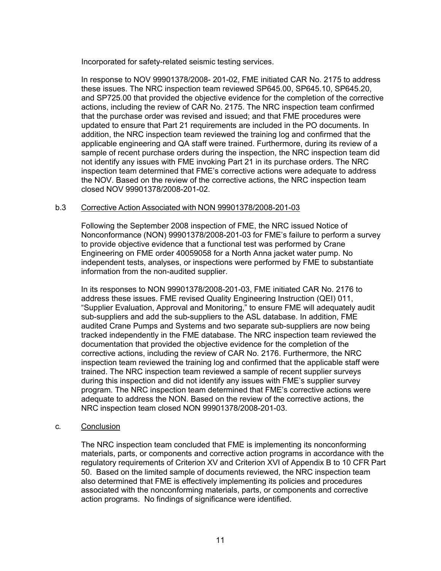Incorporated for safety-related seismic testing services.

In response to NOV 99901378/2008- 201-02, FME initiated CAR No. 2175 to address these issues. The NRC inspection team reviewed SP645.00, SP645.10, SP645.20, and SP725.00 that provided the objective evidence for the completion of the corrective actions, including the review of CAR No. 2175. The NRC inspection team confirmed that the purchase order was revised and issued; and that FME procedures were updated to ensure that Part 21 requirements are included in the PO documents. In addition, the NRC inspection team reviewed the training log and confirmed that the applicable engineering and QA staff were trained. Furthermore, during its review of a sample of recent purchase orders during the inspection, the NRC inspection team did not identify any issues with FME invoking Part 21 in its purchase orders. The NRC inspection team determined that FME's corrective actions were adequate to address the NOV. Based on the review of the corrective actions, the NRC inspection team closed NOV 99901378/2008-201-02.

# b.3 Corrective Action Associated with NON 99901378/2008-201-03

Following the September 2008 inspection of FME, the NRC issued Notice of Nonconformance (NON) 99901378/2008-201-03 for FME's failure to perform a survey to provide objective evidence that a functional test was performed by Crane Engineering on FME order 40059058 for a North Anna jacket water pump. No independent tests, analyses, or inspections were performed by FME to substantiate information from the non-audited supplier.

In its responses to NON 99901378/2008-201-03, FME initiated CAR No. 2176 to address these issues. FME revised Quality Engineering Instruction (QEI) 011, "Supplier Evaluation, Approval and Monitoring," to ensure FME will adequately audit sub-suppliers and add the sub-suppliers to the ASL database. In addition, FME audited Crane Pumps and Systems and two separate sub-suppliers are now being tracked independently in the FME database. The NRC inspection team reviewed the documentation that provided the objective evidence for the completion of the corrective actions, including the review of CAR No. 2176. Furthermore, the NRC inspection team reviewed the training log and confirmed that the applicable staff were trained. The NRC inspection team reviewed a sample of recent supplier surveys during this inspection and did not identify any issues with FME's supplier survey program. The NRC inspection team determined that FME's corrective actions were adequate to address the NON. Based on the review of the corrective actions, the NRC inspection team closed NON 99901378/2008-201-03.

### c. Conclusion

The NRC inspection team concluded that FME is implementing its nonconforming materials, parts, or components and corrective action programs in accordance with the regulatory requirements of Criterion XV and Criterion XVI of Appendix B to 10 CFR Part 50. Based on the limited sample of documents reviewed, the NRC inspection team also determined that FME is effectively implementing its policies and procedures associated with the nonconforming materials, parts, or components and corrective action programs. No findings of significance were identified.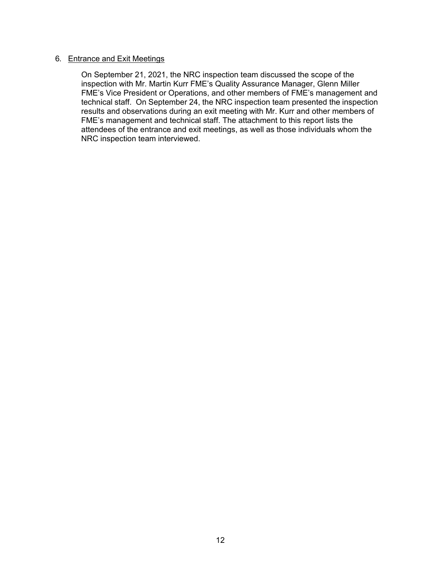## 6. Entrance and Exit Meetings

On September 21, 2021, the NRC inspection team discussed the scope of the inspection with Mr. Martin Kurr FME's Quality Assurance Manager, Glenn Miller FME's Vice President or Operations, and other members of FME's management and technical staff. On September 24, the NRC inspection team presented the inspection results and observations during an exit meeting with Mr. Kurr and other members of FME's management and technical staff. The attachment to this report lists the attendees of the entrance and exit meetings, as well as those individuals whom the NRC inspection team interviewed.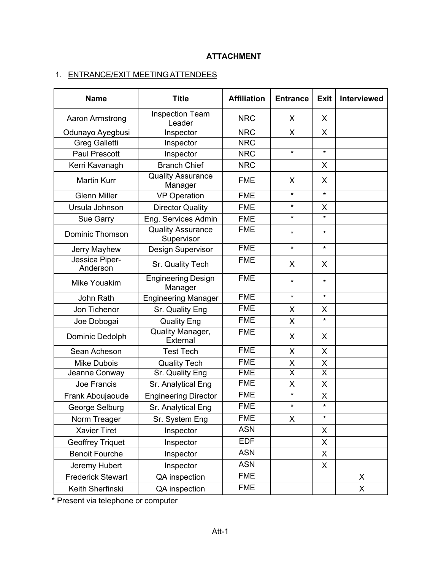# **ATTACHMENT**

# 1. ENTRANCE/EXIT MEETING ATTENDEES

| <b>Name</b>                | <b>Title</b>                           | <b>Affiliation</b> | <b>Entrance</b>         | <b>Exit</b>             | Interviewed |
|----------------------------|----------------------------------------|--------------------|-------------------------|-------------------------|-------------|
| Aaron Armstrong            | <b>Inspection Team</b><br>Leader       | <b>NRC</b>         | X                       | X                       |             |
| Odunayo Ayegbusi           | Inspector                              | <b>NRC</b>         | $\overline{\mathsf{x}}$ | $\overline{\mathsf{x}}$ |             |
| <b>Greg Galletti</b>       | Inspector                              | <b>NRC</b>         |                         |                         |             |
| <b>Paul Prescott</b>       | Inspector                              | <b>NRC</b>         | $\star$                 | $\star$                 |             |
| Kerri Kavanagh             | <b>Branch Chief</b>                    | <b>NRC</b>         |                         | X                       |             |
| <b>Martin Kurr</b>         | <b>Quality Assurance</b><br>Manager    | <b>FME</b>         | X                       | X                       |             |
| <b>Glenn Miller</b>        | <b>VP Operation</b>                    | <b>FME</b>         | $\star$                 | $\star$                 |             |
| Ursula Johnson             | <b>Director Quality</b>                | <b>FME</b>         | $\star$                 | X                       |             |
| Sue Garry                  | Eng. Services Admin                    | <b>FME</b>         | *                       | *                       |             |
| <b>Dominic Thomson</b>     | <b>Quality Assurance</b><br>Supervisor | <b>FME</b>         | $\star$                 | $\star$                 |             |
| Jerry Mayhew               | Design Supervisor                      | <b>FME</b>         | $\star$                 | $\star$                 |             |
| Jessica Piper-<br>Anderson | Sr. Quality Tech                       | <b>FME</b>         | X                       | X                       |             |
| <b>Mike Youakim</b>        | Engineering Design<br>Manager          | <b>FME</b>         | $\star$                 | *                       |             |
| John Rath                  | <b>Engineering Manager</b>             | <b>FME</b>         | $\star$                 | *                       |             |
| Jon Tichenor               | Sr. Quality Eng                        | <b>FME</b>         | X                       | X                       |             |
| Joe Dobogai                | <b>Quality Eng</b>                     | <b>FME</b>         | X                       | $\star$                 |             |
| Dominic Dedolph            | Quality Manager,<br>External           | <b>FME</b>         | X                       | X                       |             |
| Sean Acheson               | <b>Test Tech</b>                       | <b>FME</b>         | X                       | X                       |             |
| <b>Mike Dubois</b>         | <b>Quality Tech</b>                    | <b>FME</b>         | X                       | X                       |             |
| Jeanne Conway              | <b>Sr. Quality Eng</b>                 | <b>FME</b>         | $\overline{\mathsf{x}}$ | $\overline{\mathsf{x}}$ |             |
| Joe Francis                | Sr. Analytical Eng                     | <b>FME</b>         | X                       | X                       |             |
| Frank Aboujaoude           | <b>Engineering Director</b>            | <b>FME</b>         | $\star$                 | X                       |             |
| George Selburg             | Sr. Analytical Eng                     | <b>FME</b>         | *                       | $\star$                 |             |
| Norm Treager               | Sr. System Eng                         | <b>FME</b>         | X                       | *                       |             |
| <b>Xavier Tiret</b>        | Inspector                              | <b>ASN</b>         |                         | X                       |             |
| <b>Geoffrey Triquet</b>    | Inspector                              | <b>EDF</b>         |                         | X                       |             |
| <b>Benoit Fourche</b>      | Inspector                              | <b>ASN</b>         |                         | X                       |             |
| Jeremy Hubert              | Inspector                              | <b>ASN</b>         |                         | X                       |             |
| <b>Frederick Stewart</b>   | QA inspection                          | <b>FME</b>         |                         |                         | X           |
| Keith Sherfinski           | QA inspection                          | <b>FME</b>         |                         |                         | X           |

\* Present via telephone or computer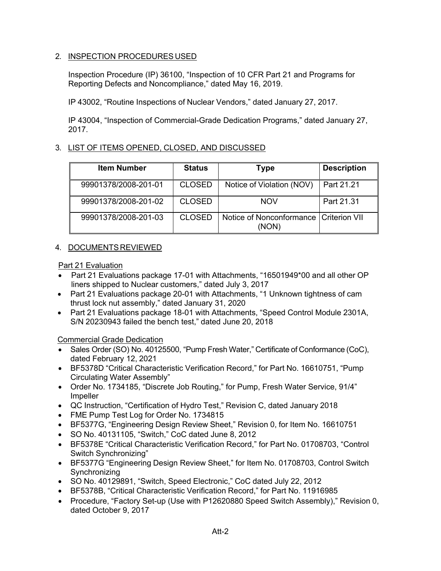# 2. INSPECTION PROCEDURES USED

Inspection Procedure (IP) 36100, "Inspection of 10 CFR Part 21 and Programs for Reporting Defects and Noncompliance," dated May 16, 2019.

IP 43002, "Routine Inspections of Nuclear Vendors," dated January 27, 2017.

IP 43004, "Inspection of Commercial-Grade Dedication Programs," dated January 27, 2017.

# 3. LIST OF ITEMS OPENED, CLOSED, AND DISCUSSED

| <b>Item Number</b>   | <b>Status</b> | Type                              | <b>Description</b>   |
|----------------------|---------------|-----------------------------------|----------------------|
| 99901378/2008-201-01 | <b>CLOSED</b> | Notice of Violation (NOV)         | Part 21.21           |
| 99901378/2008-201-02 | <b>CLOSED</b> | <b>NOV</b>                        | Part 21.31           |
| 99901378/2008-201-03 | <b>CLOSED</b> | Notice of Nonconformance<br>(NON) | <b>Criterion VII</b> |

# 4. DOCUMENTS REVIEWED

Part 21 Evaluation

- Part 21 Evaluations package 17-01 with Attachments, "16501949\*00 and all other OP liners shipped to Nuclear customers," dated July 3, 2017
- Part 21 Evaluations package 20-01 with Attachments, "1 Unknown tightness of cam thrust lock nut assembly," dated January 31, 2020
- Part 21 Evaluations package 18-01 with Attachments, "Speed Control Module 2301A, S/N 20230943 failed the bench test," dated June 20, 2018

Commercial Grade Dedication

- Sales Order (SO) No. 40125500, "Pump Fresh Water," Certificate of Conformance (CoC), dated February 12, 2021
- BF5378D "Critical Characteristic Verification Record," for Part No. 16610751, "Pump Circulating Water Assembly"
- Order No. 1734185, "Discrete Job Routing," for Pump, Fresh Water Service, 91/4" Impeller
- QC Instruction, "Certification of Hydro Test," Revision C, dated January 2018
- FME Pump Test Log for Order No. 1734815
- BF5377G, "Engineering Design Review Sheet," Revision 0, for Item No. 16610751
- SO No. 40131105, "Switch," CoC dated June 8, 2012
- BF5378E "Critical Characteristic Verification Record," for Part No. 01708703, "Control Switch Synchronizing"
- BF5377G "Engineering Design Review Sheet," for Item No. 01708703, Control Switch Synchronizing
- SO No. 40129891, "Switch, Speed Electronic," CoC dated July 22, 2012
- BF5378B, "Critical Characteristic Verification Record," for Part No. 11916985
- Procedure, "Factory Set-up (Use with P12620880 Speed Switch Assembly)," Revision 0, dated October 9, 2017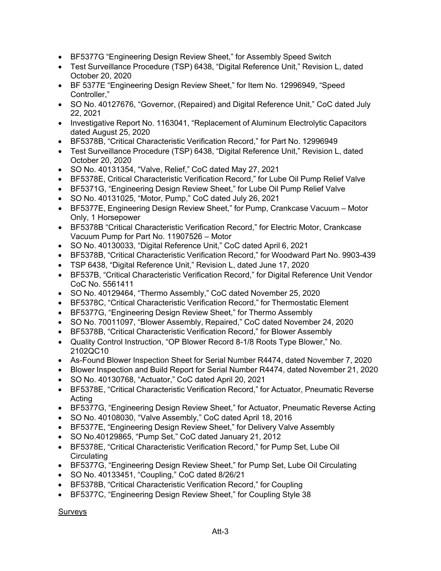- BF5377G "Engineering Design Review Sheet," for Assembly Speed Switch
- Test Surveillance Procedure (TSP) 6438, "Digital Reference Unit," Revision L, dated October 20, 2020
- BF 5377E "Engineering Design Review Sheet," for Item No. 12996949, "Speed Controller,"
- SO No. 40127676, "Governor, (Repaired) and Digital Reference Unit," CoC dated July 22, 2021
- Investigative Report No. 1163041, "Replacement of Aluminum Electrolytic Capacitors dated August 25, 2020
- BF5378B, "Critical Characteristic Verification Record," for Part No. 12996949
- Test Surveillance Procedure (TSP) 6438, "Digital Reference Unit," Revision L, dated October 20, 2020
- SO No. 40131354, "Valve, Relief," CoC dated May 27, 2021
- BF5378E, Critical Characteristic Verification Record," for Lube Oil Pump Relief Valve
- BF5371G, "Engineering Design Review Sheet," for Lube Oil Pump Relief Valve
- SO No. 40131025, "Motor, Pump," CoC dated July 26, 2021
- BF5377E, Engineering Design Review Sheet," for Pump, Crankcase Vacuum Motor Only, 1 Horsepower
- BF5378B "Critical Characteristic Verification Record," for Electric Motor, Crankcase Vacuum Pump for Part No. 11907526 – Motor
- SO No. 40130033, "Digital Reference Unit," CoC dated April 6, 2021
- BF5378B, "Critical Characteristic Verification Record," for Woodward Part No. 9903-439
- TSP 6438, "Digital Reference Unit," Revision L, dated June 17, 2020
- BF537B, "Critical Characteristic Verification Record," for Digital Reference Unit Vendor CoC No. 5561411
- SO No. 40129464, "Thermo Assembly," CoC dated November 25, 2020
- BF5378C, "Critical Characteristic Verification Record," for Thermostatic Element
- BF5377G, "Engineering Design Review Sheet," for Thermo Assembly
- SO No. 70011097, "Blower Assembly, Repaired," CoC dated November 24, 2020
- BF5378B, "Critical Characteristic Verification Record," for Blower Assembly
- Quality Control Instruction, "OP Blower Record 8-1/8 Roots Type Blower," No. 2102QC10
- As-Found Blower Inspection Sheet for Serial Number R4474, dated November 7, 2020
- Blower Inspection and Build Report for Serial Number R4474, dated November 21, 2020
- SO No. 40130768, "Actuator," CoC dated April 20, 2021
- BF5378E, "Critical Characteristic Verification Record," for Actuator, Pneumatic Reverse Acting
- BF5377G, "Engineering Design Review Sheet," for Actuator, Pneumatic Reverse Acting
- SO No. 40108030, "Valve Assembly," CoC dated April 18, 2016
- BF5377E, "Engineering Design Review Sheet," for Delivery Valve Assembly
- SO No.40129865, "Pump Set," CoC dated January 21, 2012
- BF5378E, "Critical Characteristic Verification Record," for Pump Set, Lube Oil **Circulating**
- BF5377G, "Engineering Design Review Sheet," for Pump Set, Lube Oil Circulating
- SO No. 40133451, "Coupling," CoC dated 8/26/21
- BF5378B, "Critical Characteristic Verification Record," for Coupling
- BF5377C, "Engineering Design Review Sheet," for Coupling Style 38

Surveys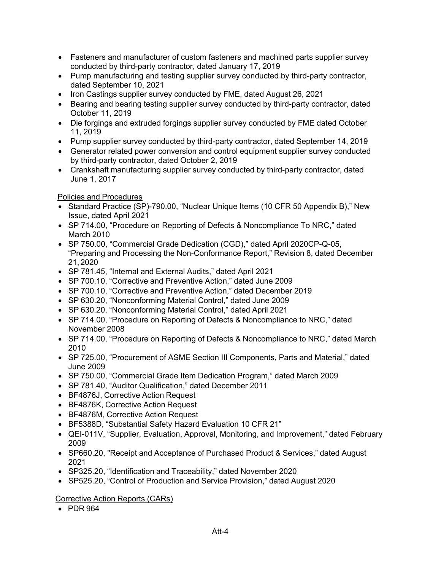- Fasteners and manufacturer of custom fasteners and machined parts supplier survey conducted by third-party contractor, dated January 17, 2019
- Pump manufacturing and testing supplier survey conducted by third-party contractor, dated September 10, 2021
- Iron Castings supplier survey conducted by FME, dated August 26, 2021
- Bearing and bearing testing supplier survey conducted by third-party contractor, dated October 11, 2019
- Die forgings and extruded forgings supplier survey conducted by FME dated October 11, 2019
- Pump supplier survey conducted by third-party contractor, dated September 14, 2019
- Generator related power conversion and control equipment supplier survey conducted by third-party contractor, dated October 2, 2019
- Crankshaft manufacturing supplier survey conducted by third-party contractor, dated June 1, 2017

# Policies and Procedures

- Standard Practice (SP)-790.00, "Nuclear Unique Items (10 CFR 50 Appendix B)," New Issue, dated April 2021
- SP 714.00, "Procedure on Reporting of Defects & Noncompliance To NRC," dated March 2010
- SP 750.00, "Commercial Grade Dedication (CGD)," dated April 2020CP-Q-05, "Preparing and Processing the Non-Conformance Report," Revision 8, dated December 21, 2020
- SP 781.45, "Internal and External Audits," dated April 2021
- SP 700.10, "Corrective and Preventive Action," dated June 2009
- SP 700.10, "Corrective and Preventive Action," dated December 2019
- SP 630.20, "Nonconforming Material Control," dated June 2009
- SP 630.20, "Nonconforming Material Control," dated April 2021
- SP 714.00, "Procedure on Reporting of Defects & Noncompliance to NRC," dated November 2008
- SP 714.00, "Procedure on Reporting of Defects & Noncompliance to NRC," dated March 2010
- SP 725.00, "Procurement of ASME Section III Components, Parts and Material," dated June 2009
- SP 750.00, "Commercial Grade Item Dedication Program," dated March 2009
- SP 781.40, "Auditor Qualification," dated December 2011
- BF4876J, Corrective Action Request
- BF4876K, Corrective Action Request
- BF4876M, Corrective Action Request
- BF5388D, "Substantial Safety Hazard Evaluation 10 CFR 21"
- QEI-011V, "Supplier, Evaluation, Approval, Monitoring, and Improvement," dated February 2009
- SP660.20, "Receipt and Acceptance of Purchased Product & Services," dated August 2021
- SP325.20, "Identification and Traceability," dated November 2020
- SP525.20, "Control of Production and Service Provision," dated August 2020

# Corrective Action Reports (CARs)

• PDR 964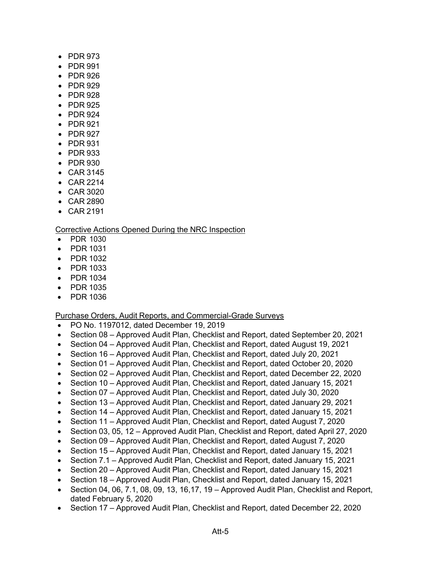- PDR 973
- PDR 991
- PDR 926
- PDR 929
- PDR 928
- PDR 925
- PDR 924
- PDR 921
- PDR 927
- PDR 931
- PDR 933
- PDR 930
- CAR 3145
- CAR 2214
- CAR 3020
- CAR 2890
- CAR 2191

# Corrective Actions Opened During the NRC Inspection

- PDR 1030
- PDR 1031
- PDR 1032
- PDR 1033
- PDR 1034
- PDR 1035
- PDR 1036

### Purchase Orders, Audit Reports, and Commercial-Grade Surveys

- PO No. 1197012, dated December 19, 2019
- Section 08 Approved Audit Plan, Checklist and Report, dated September 20, 2021
- Section 04 Approved Audit Plan, Checklist and Report, dated August 19, 2021
- Section 16 Approved Audit Plan, Checklist and Report, dated July 20, 2021
- Section 01 Approved Audit Plan, Checklist and Report, dated October 20, 2020
- Section 02 Approved Audit Plan, Checklist and Report, dated December 22, 2020
- Section 10 Approved Audit Plan, Checklist and Report, dated January 15, 2021
- Section 07 Approved Audit Plan, Checklist and Report, dated July 30, 2020
- Section 13 Approved Audit Plan, Checklist and Report, dated January 29, 2021
- Section 14 Approved Audit Plan, Checklist and Report, dated January 15, 2021
- Section 11 Approved Audit Plan, Checklist and Report, dated August 7, 2020
- Section 03, 05, 12 Approved Audit Plan, Checklist and Report, dated April 27, 2020
- Section 09 Approved Audit Plan, Checklist and Report, dated August 7, 2020
- Section 15 Approved Audit Plan, Checklist and Report, dated January 15, 2021
- Section 7.1 Approved Audit Plan, Checklist and Report, dated January 15, 2021
- Section 20 Approved Audit Plan, Checklist and Report, dated January 15, 2021
- Section 18 Approved Audit Plan, Checklist and Report, dated January 15, 2021
- Section 04, 06, 7.1, 08, 09, 13, 16,17, 19 Approved Audit Plan, Checklist and Report, dated February 5, 2020
- Section 17 Approved Audit Plan, Checklist and Report, dated December 22, 2020